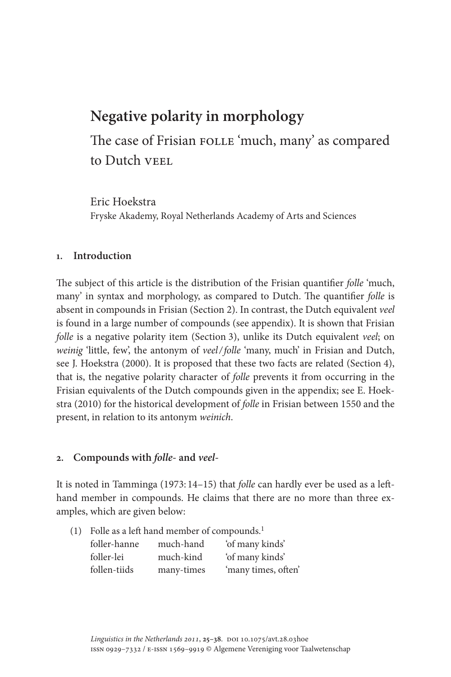# **Negative polarity in morphology**

The case of Frisian FOLLE 'much, many' as compared to Dutch VEEL

Eric Hoekstra Fryske Akademy, Royal Netherlands Academy of Arts and Sciences

## **1. Introduction**

The subject of this article is the distribution of the Frisian quantifier *folle* 'much, many' in syntax and morphology, as compared to Dutch. The quantifier *folle* is absent in compounds in Frisian (Section 2). In contrast, the Dutch equivalent *veel*  is found in a large number of compounds (see appendix). It is shown that Frisian *folle* is a negative polarity item (Section 3), unlike its Dutch equivalent *veel*; on *weinig* 'little, few', the antonym of *veel/folle* 'many, much' in Frisian and Dutch, see J. Hoekstra (2000). It is proposed that these two facts are related (Section 4), that is, the negative polarity character of *folle* prevents it from occurring in the Frisian equivalents of the Dutch compounds given in the appendix; see E. Hoekstra (2010) for the historical development of *folle* in Frisian between 1550 and the present, in relation to its antonym *weinich*.

## **2. Compounds with** *folle***- and** *veel***-**

It is noted in Tamminga (1973: 14–15) that *folle* can hardly ever be used as a lefthand member in compounds. He claims that there are no more than three examples, which are given below:

| (1) Folle as a left hand member of compounds. <sup>1</sup> |            |                     |  |  |
|------------------------------------------------------------|------------|---------------------|--|--|
| foller-hanne                                               | much-hand  | 'of many kinds'     |  |  |
| foller-lei                                                 | much-kind  | 'of many kinds'     |  |  |
| follen-tiids                                               | many-times | 'many times, often' |  |  |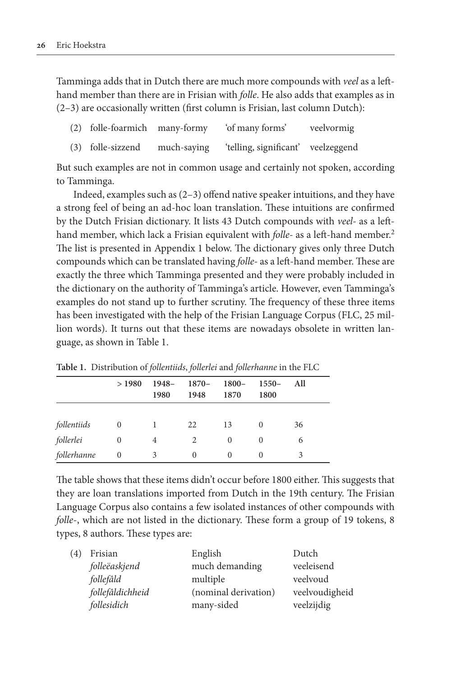Tamminga adds that in Dutch there are much more compounds with *veel* as a lefthand member than there are in Frisian with *folle*. He also adds that examples as in (2–3) are occasionally written (first column is Frisian, last column Dutch):

|  |  | (2) folle-foarmich many-formy 'of many forms'                                                                                                                                                                                                                                           |  |  | veelvormig |  |
|--|--|-----------------------------------------------------------------------------------------------------------------------------------------------------------------------------------------------------------------------------------------------------------------------------------------|--|--|------------|--|
|  |  | $\sqrt{2}$ and $\sqrt{2}$ and $\sqrt{2}$ and $\sqrt{2}$ and $\sqrt{2}$ and $\sqrt{2}$ and $\sqrt{2}$ and $\sqrt{2}$ and $\sqrt{2}$ and $\sqrt{2}$ and $\sqrt{2}$ and $\sqrt{2}$ and $\sqrt{2}$ and $\sqrt{2}$ and $\sqrt{2}$ and $\sqrt{2}$ and $\sqrt{2}$ and $\sqrt{2}$ and $\sqrt{2$ |  |  |            |  |

|  | (3) folle-sizzend | much-saying | 'telling, significant' | veelzeggend |
|--|-------------------|-------------|------------------------|-------------|
|--|-------------------|-------------|------------------------|-------------|

But such examples are not in common usage and certainly not spoken, according to Tamminga.

Indeed, examples such as (2–3) offend native speaker intuitions, and they have a strong feel of being an ad-hoc loan translation. These intuitions are confirmed by the Dutch Frisian dictionary. It lists 43 Dutch compounds with *veel-* as a lefthand member, which lack a Frisian equivalent with *folle-* as a left-hand member.2 The list is presented in Appendix 1 below. The dictionary gives only three Dutch compounds which can be translated having *folle-* as a left-hand member. These are exactly the three which Tamminga presented and they were probably included in the dictionary on the authority of Tamminga's article. However, even Tamminga's examples do not stand up to further scrutiny. The frequency of these three items has been investigated with the help of the Frisian Language Corpus (FLC, 25 million words). It turns out that these items are nowadays obsolete in written language, as shown in Table 1.

|             | >1980          | $1948-$<br>1980 | 1870–<br>1948 | $1800 -$<br>1870 | $1550-$<br>1800 | All |  |
|-------------|----------------|-----------------|---------------|------------------|-----------------|-----|--|
|             |                |                 |               |                  |                 |     |  |
| follentiids | $\theta$       |                 | 22            | 13               | $\Omega$        | 36  |  |
| follerlei   | $\overline{0}$ | 4               | 2             | $\Omega$         | $\theta$        | 6   |  |
| follerhanne | 0              |                 | 0             | 0                |                 |     |  |

**Table 1.** Distribution of *follentiids*, *follerlei* and *follerhanne* in the FLC

The table shows that these items didn't occur before 1800 either. This suggests that they are loan translations imported from Dutch in the 19th century. The Frisian Language Corpus also contains a few isolated instances of other compounds with *folle*-, which are not listed in the dictionary. These form a group of 19 tokens, 8 types, 8 authors. These types are:

| 4) | Frisian          | English              | Dutch          |
|----|------------------|----------------------|----------------|
|    | folleëaskjend    | much demanding       | veeleisend     |
|    | follefâld        | multiple             | veelvoud       |
|    | follefâldichheid | (nominal derivation) | veelvoudigheid |
|    | follesidich      | many-sided           | veelzijdig     |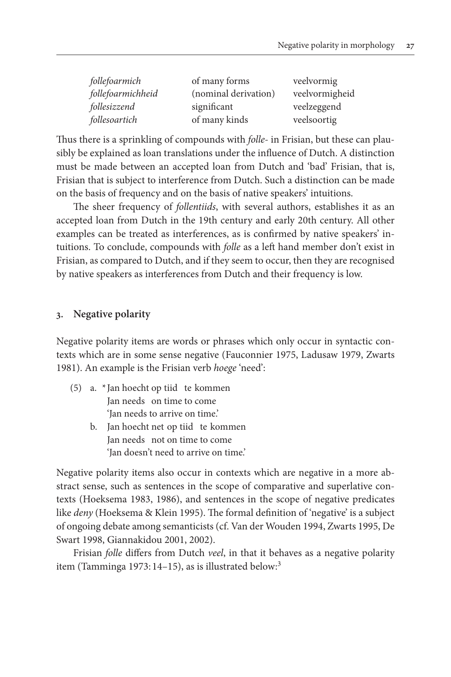| follefoarmich     | of many forms        | veelvormig     |
|-------------------|----------------------|----------------|
| follefoarmichheid | (nominal derivation) | veelvormigheid |
| follesizzend      | significant          | veelzeggend    |
| follesoartich     | of many kinds        | veelsoortig    |

Thus there is a sprinkling of compounds with *folle-* in Frisian, but these can plausibly be explained as loan translations under the influence of Dutch. A distinction must be made between an accepted loan from Dutch and 'bad' Frisian, that is, Frisian that is subject to interference from Dutch. Such a distinction can be made on the basis of frequency and on the basis of native speakers' intuitions.

The sheer frequency of *follentiids*, with several authors, establishes it as an accepted loan from Dutch in the 19th century and early 20th century. All other examples can be treated as interferences, as is confirmed by native speakers' intuitions. To conclude, compounds with *folle* as a left hand member don't exist in Frisian, as compared to Dutch, and if they seem to occur, then they are recognised by native speakers as interferences from Dutch and their frequency is low.

### **3. Negative polarity**

Negative polarity items are words or phrases which only occur in syntactic contexts which are in some sense negative (Fauconnier 1975, Ladusaw 1979, Zwarts 1981). An example is the Frisian verb *hoege* 'need':

- (5) a. \* Jan hoecht op tiid te kommen Jan needs on time to come 'Jan needs to arrive on time.'
	- b. Jan hoecht net op tiid te kommen Jan needs not on time to come 'Jan doesn't need to arrive on time.'

Negative polarity items also occur in contexts which are negative in a more abstract sense, such as sentences in the scope of comparative and superlative contexts (Hoeksema 1983, 1986), and sentences in the scope of negative predicates like *deny* (Hoeksema & Klein 1995). The formal definition of 'negative' is a subject of ongoing debate among semanticists (cf. Van der Wouden 1994, Zwarts 1995, De Swart 1998, Giannakidou 2001, 2002).

Frisian *folle* differs from Dutch *veel*, in that it behaves as a negative polarity item (Tamminga 1973: 14–15), as is illustrated below:<sup>3</sup>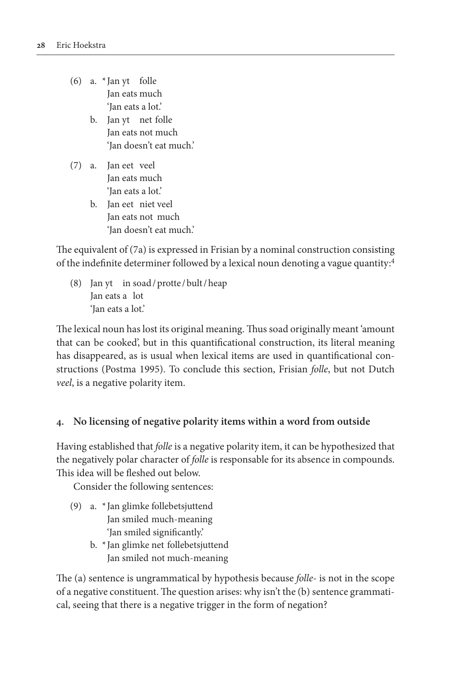- (6) a.  $*$  Jan yt folle Jan eats much 'Jan eats a lot.'
	- b. Jan yt net folle Jan eats not much 'Jan doesn't eat much.'
- (7) a. Jan eet veel Jan eats much 'Jan eats a lot.'
	- b. Jan eet niet veel Jan eats not much 'Jan doesn't eat much.'

The equivalent of (7a) is expressed in Frisian by a nominal construction consisting of the indefinite determiner followed by a lexical noun denoting a vague quantity:4

(8) Jan yt in soad/protte /bult/heap Jan eats a lot 'Jan eats a lot.'

The lexical noun has lost its original meaning. Thus soad originally meant 'amount that can be cooked', but in this quantificational construction, its literal meaning has disappeared, as is usual when lexical items are used in quantificational constructions (Postma 1995). To conclude this section, Frisian *folle*, but not Dutch *veel*, is a negative polarity item.

## **4. No licensing of negative polarity items within a word from outside**

Having established that *folle* is a negative polarity item, it can be hypothesized that the negatively polar character of *folle* is responsable for its absence in compounds. This idea will be fleshed out below.

Consider the following sentences:

- (9) a. \* Jan glimke follebetsjuttend Jan smiled much-meaning 'Jan smiled significantly.'
	- b. \* Jan glimke net follebetsjuttend Jan smiled not much-meaning

The (a) sentence is ungrammatical by hypothesis because *folle*- is not in the scope of a negative constituent. The question arises: why isn't the (b) sentence grammatical, seeing that there is a negative trigger in the form of negation?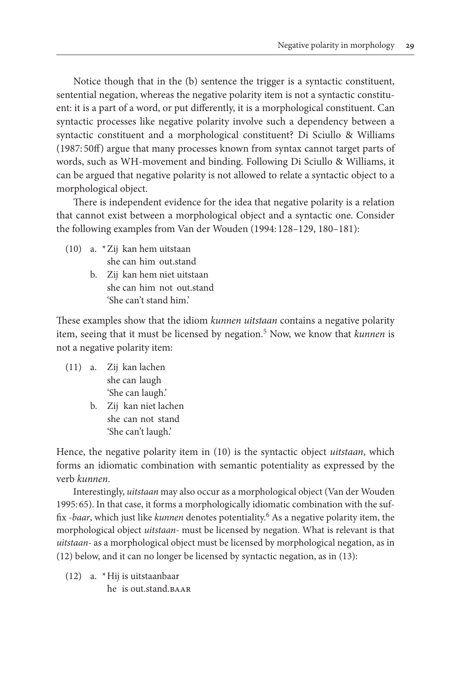Notice though that in the (b) sentence the trigger is a syntactic constituent, sentential negation, whereas the negative polarity item is not a syntactic constituent: it is a part of a word, or put differently, it is a morphological constituent. Can syntactic processes like negative polarity involve such a dependency between a syntactic constituent and a morphological constituent? Di Sciullo & Williams (1987: 50ff) argue that many processes known from syntax cannot target parts of words, such as WH-movement and binding. Following Di Sciullo & Williams, it can be argued that negative polarity is not allowed to relate a syntactic object to a morphological object.

There is independent evidence for the idea that negative polarity is a relation that cannot exist between a morphological object and a syntactic one. Consider the following examples from Van der Wouden (1994: 128–129, 180–181):

- (10) a. \*Zij kan hem uitstaan she can him out.stand
	- b. Zij kan hem niet uitstaan she can him not out.stand 'She can't stand him.'

These examples show that the idiom *kunnen uitstaan* contains a negative polarity item, seeing that it must be licensed by negation.5 Now, we know that *kunnen* is not a negative polarity item:

- (11) a. Zij kan lachen she can laugh 'She can laugh.'
	- b. Zij kan niet lachen she can not stand 'She can't laugh.'

Hence, the negative polarity item in (10) is the syntactic object *uitstaan*, which forms an idiomatic combination with semantic potentiality as expressed by the verb *kunnen*.

Interestingly, *uitstaan* may also occur as a morphological object (Van der Wouden 1995: 65). In that case, it forms a morphologically idiomatic combination with the suffix *-baar*, which just like *kunnen* denotes potentiality.6 As a negative polarity item, the morphological object *uitstaan-* must be licensed by negation. What is relevant is that *uitstaan-* as a morphological object must be licensed by morphological negation, as in (12) below, and it can no longer be licensed by syntactic negation, as in (13):

(12) a. \*Hij is uitstaanbaar he is out.stand.baar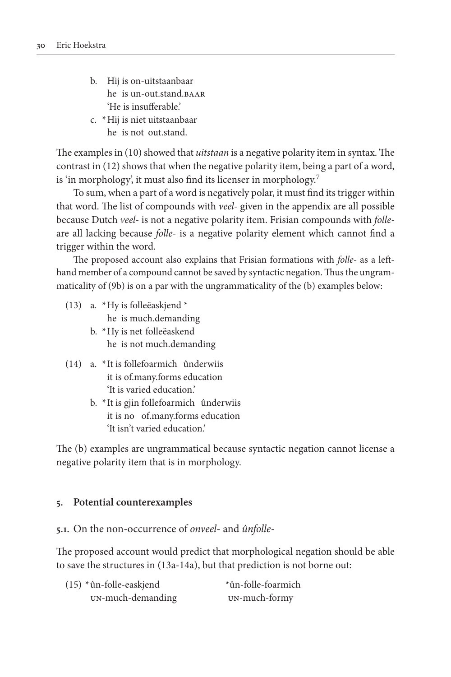- b. Hij is on-uitstaanbaar he is un-out.stand.baar 'He is insufferable.'
- c. \*Hij is niet uitstaanbaar he is not out.stand.

The examples in (10) showed that *uitstaan* is a negative polarity item in syntax. The contrast in (12) shows that when the negative polarity item, being a part of a word, is 'in morphology', it must also find its licenser in morphology.7

To sum, when a part of a word is negatively polar, it must find its trigger within that word. The list of compounds with *veel-* given in the appendix are all possible because Dutch *veel-* is not a negative polarity item. Frisian compounds with *folle*are all lacking because *folle-* is a negative polarity element which cannot find a trigger within the word.

The proposed account also explains that Frisian formations with *folle-* as a lefthand member of a compound cannot be saved by syntactic negation. Thus the ungrammaticality of (9b) is on a par with the ungrammaticality of the (b) examples below:

- (13) a. \*Hy is folleëaskjend \* he is much.demanding
	- b. \*Hy is net folleëaskend he is not much.demanding
- (14) a. \* It is follefoarmich ûnderwiis it is of.many.forms education 'It is varied education.'
	- b. \* It is gjin follefoarmich ûnderwiis it is no of.many.forms education 'It isn't varied education.'

The (b) examples are ungrammatical because syntactic negation cannot license a negative polarity item that is in morphology.

#### **5. Potential counterexamples**

**5.1.** On the non-occurrence of *onveel*- and *ûnfolle*-

The proposed account would predict that morphological negation should be able to save the structures in (13a-14a), but that prediction is not borne out:

| $(15)$ * ûn-folle-easkjend | *ûn-folle-foarmich |
|----------------------------|--------------------|
| UN-much-demanding          | UN-much-formy      |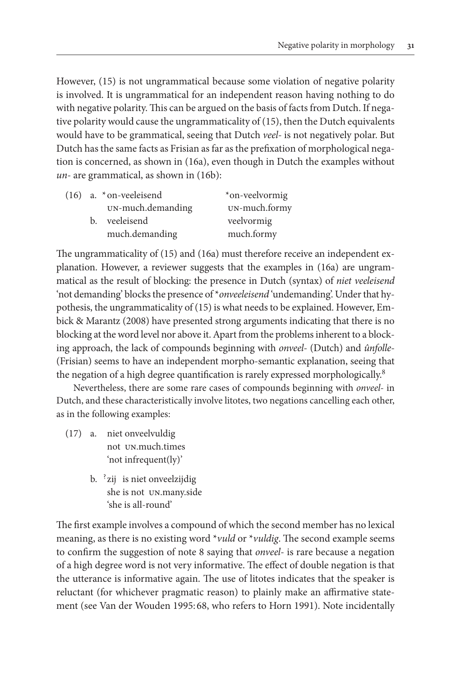However, (15) is not ungrammatical because some violation of negative polarity is involved. It is ungrammatical for an independent reason having nothing to do with negative polarity. This can be argued on the basis of facts from Dutch. If negative polarity would cause the ungrammaticality of (15), then the Dutch equivalents would have to be grammatical, seeing that Dutch *veel-* is not negatively polar. But Dutch has the same facts as Frisian as far as the prefixation of morphological negation is concerned, as shown in (16a), even though in Dutch the examples without *un-* are grammatical, as shown in (16b):

|  | $(16)$ a. * on-veeleisend | *on-veelvormig |
|--|---------------------------|----------------|
|  | UN-much.demanding         | UN-much.formy  |
|  | b. veeleisend             | veelvormig     |
|  | much.demanding            | much.formy     |

The ungrammaticality of (15) and (16a) must therefore receive an independent explanation. However, a reviewer suggests that the examples in (16a) are ungrammatical as the result of blocking: the presence in Dutch (syntax) of *niet veeleisend* 'not demanding' blocks the presence of \**onveeleisend* 'undemanding'. Under that hypothesis, the ungrammaticality of (15) is what needs to be explained. However, Embick & Marantz (2008) have presented strong arguments indicating that there is no blocking at the word level nor above it. Apart from the problems inherent to a blocking approach, the lack of compounds beginning with *onveel-* (Dutch) and *ûnfolle-* (Frisian) seems to have an independent morpho-semantic explanation, seeing that the negation of a high degree quantification is rarely expressed morphologically.<sup>8</sup>

Nevertheless, there are some rare cases of compounds beginning with *onveel-* in Dutch, and these characteristically involve litotes, two negations cancelling each other, as in the following examples:

- (17) a. niet onveelvuldig not un.much.times 'not infrequent(ly)'
	- b. <sup>?</sup>zij is niet onveelzijdig she is not un.many.side 'she is all-round'

The first example involves a compound of which the second member has no lexical meaning, as there is no existing word \**vuld* or \**vuldig*. The second example seems to confirm the suggestion of note 8 saying that *onveel-* is rare because a negation of a high degree word is not very informative. The effect of double negation is that the utterance is informative again. The use of litotes indicates that the speaker is reluctant (for whichever pragmatic reason) to plainly make an affirmative statement (see Van der Wouden 1995: 68, who refers to Horn 1991). Note incidentally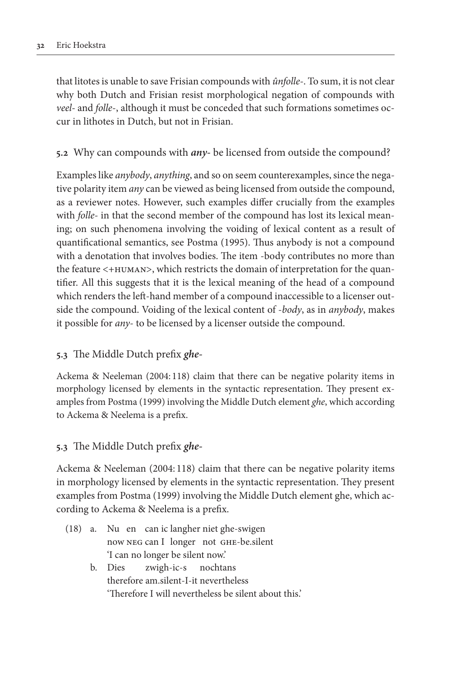that litotes is unable to save Frisian compounds with *ûnfolle-*. To sum, it is not clear why both Dutch and Frisian resist morphological negation of compounds with *veel-* and *folle*-, although it must be conceded that such formations sometimes occur in lithotes in Dutch, but not in Frisian.

## **5.2** Why can compounds with *any-* be licensed from outside the compound?

Examples like *anybody*, *anything*, and so on seem counterexamples, since the negative polarity item *any* can be viewed as being licensed from outside the compound, as a reviewer notes. However, such examples differ crucially from the examples with *folle-* in that the second member of the compound has lost its lexical meaning; on such phenomena involving the voiding of lexical content as a result of quantificational semantics, see Postma (1995). Thus anybody is not a compound with a denotation that involves bodies. The item -body contributes no more than the feature <+HUMAN>, which restricts the domain of interpretation for the quantifier. All this suggests that it is the lexical meaning of the head of a compound which renders the left-hand member of a compound inaccessible to a licenser outside the compound. Voiding of the lexical content of -*body*, as in *anybody*, makes it possible for *any*- to be licensed by a licenser outside the compound.

## **5.3** The Middle Dutch prefix *ghe-*

Ackema & Neeleman (2004: 118) claim that there can be negative polarity items in morphology licensed by elements in the syntactic representation. They present examples from Postma (1999) involving the Middle Dutch element *ghe*, which according to Ackema & Neelema is a prefix.

#### **5.3** The Middle Dutch prefix *ghe-*

Ackema & Neeleman (2004: 118) claim that there can be negative polarity items in morphology licensed by elements in the syntactic representation. They present examples from Postma (1999) involving the Middle Dutch element ghe, which according to Ackema & Neelema is a prefix.

- (18) a. Nu en can ic langher niet ghe-swigen now neg can I longer not ghe-be.silent 'I can no longer be silent now.'
	- b. Dies zwigh-ic-s nochtans therefore am.silent-I-it nevertheless 'Therefore I will nevertheless be silent about this.'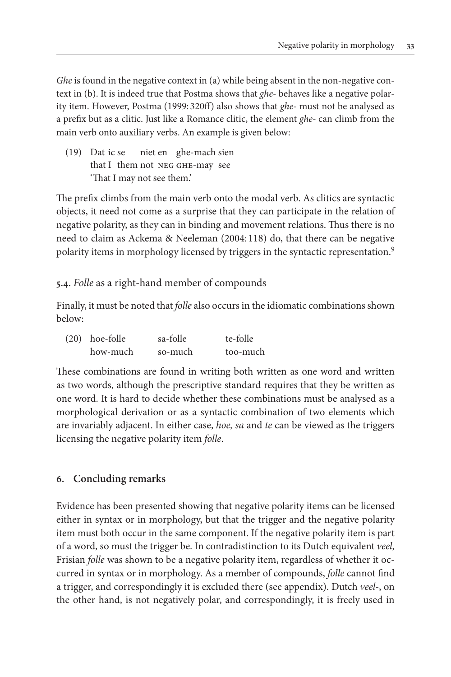*Ghe* is found in the negative context in (a) while being absent in the non-negative context in (b). It is indeed true that Postma shows that *ghe-* behaves like a negative polarity item. However, Postma (1999: 320ff) also shows that *ghe-* must not be analysed as a prefix but as a clitic. Just like a Romance clitic, the element *ghe-* can climb from the main verb onto auxiliary verbs. An example is given below:

(19) Dat ic se niet en ghe-mach sien that I them not neg ghe-may see 'That I may not see them.'

The prefix climbs from the main verb onto the modal verb. As clitics are syntactic objects, it need not come as a surprise that they can participate in the relation of negative polarity, as they can in binding and movement relations. Thus there is no need to claim as Ackema & Neeleman (2004: 118) do, that there can be negative polarity items in morphology licensed by triggers in the syntactic representation.<sup>9</sup>

**5.4.** *Folle* as a right-hand member of compounds

Finally, it must be noted that *folle* also occurs in the idiomatic combinations shown below:

| $(20)$ hoe-folle | sa-folle | te-folle |
|------------------|----------|----------|
| how-much         | so-much  | too-much |

These combinations are found in writing both written as one word and written as two words, although the prescriptive standard requires that they be written as one word. It is hard to decide whether these combinations must be analysed as a morphological derivation or as a syntactic combination of two elements which are invariably adjacent. In either case, *hoe, sa* and *te* can be viewed as the triggers licensing the negative polarity item *folle*.

## **6. Concluding remarks**

Evidence has been presented showing that negative polarity items can be licensed either in syntax or in morphology, but that the trigger and the negative polarity item must both occur in the same component. If the negative polarity item is part of a word, so must the trigger be. In contradistinction to its Dutch equivalent *veel*, Frisian *folle* was shown to be a negative polarity item, regardless of whether it occurred in syntax or in morphology. As a member of compounds, *folle* cannot find a trigger, and correspondingly it is excluded there (see appendix). Dutch *veel-*, on the other hand, is not negatively polar, and correspondingly, it is freely used in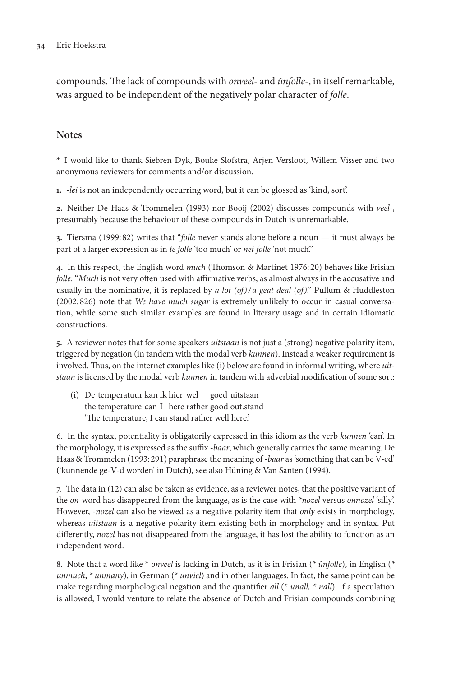compounds. The lack of compounds with *onveel-* and *ûnfolle-*, in itself remarkable, was argued to be independent of the negatively polar character of *folle*.

#### **Notes**

**\*** I would like to thank Siebren Dyk, Bouke Slofstra, Arjen Versloot, Willem Visser and two anonymous reviewers for comments and/or discussion.

**1.** -*lei* is not an independently occurring word, but it can be glossed as 'kind, sort'.

**2.** Neither De Haas & Trommelen (1993) nor Booij (2002) discusses compounds with *veel-*, presumably because the behaviour of these compounds in Dutch is unremarkable.

**3.** Tiersma (1999: 82) writes that "*folle* never stands alone before a noun — it must always be part of a larger expression as in *te folle* 'too much' or *net folle* 'not much'."

**4.** In this respect, the English word *much* (Thomson & Martinet 1976: 20) behaves like Frisian *folle*: "*Much* is not very often used with affirmative verbs, as almost always in the accusative and usually in the nominative, it is replaced by *a lot (of)/ a geat deal (of)*." Pullum & Huddleston (2002: 826) note that *We have much sugar* is extremely unlikely to occur in casual conversation, while some such similar examples are found in literary usage and in certain idiomatic constructions.

**5.** A reviewer notes that for some speakers *uitstaan* is not just a (strong) negative polarity item, triggered by negation (in tandem with the modal verb *kunnen*). Instead a weaker requirement is involved. Thus, on the internet examples like (i) below are found in informal writing, where *uitstaan* is licensed by the modal verb *kunnen* in tandem with adverbial modification of some sort:

(i) De temperatuur kan ik hier wel goed uitstaan the temperature can I here rather good out.stand 'The temperature, I can stand rather well here.'

6. In the syntax, potentiality is obligatorily expressed in this idiom as the verb *kunnen* 'can'. In the morphology, it is expressed as the suffix *-baar*, which generally carries the same meaning. De Haas & Trommelen (1993: 291) paraphrase the meaning of *-baar* as 'something that can be V-ed' ('kunnende ge-V-d worden' in Dutch), see also Hüning & Van Santen (1994).

7. The data in (12) can also be taken as evidence, as a reviewer notes, that the positive variant of the *on*-word has disappeared from the language, as is the case with *\*nozel* versus *onnozel* 'silly'. However, -*nozel* can also be viewed as a negative polarity item that *only* exists in morphology, whereas *uitstaan* is a negative polarity item existing both in morphology and in syntax. Put differently, *nozel* has not disappeared from the language, it has lost the ability to function as an independent word.

8. Note that a word like \* *onveel* is lacking in Dutch, as it is in Frisian (*\* ûnfolle*), in English (*\* unmuch*, *\* unmany*), in German (*\* unviel*) and in other languages. In fact, the same point can be make regarding morphological negation and the quantifier *all* (\* *unall, \* nall*). If a speculation is allowed, I would venture to relate the absence of Dutch and Frisian compounds combining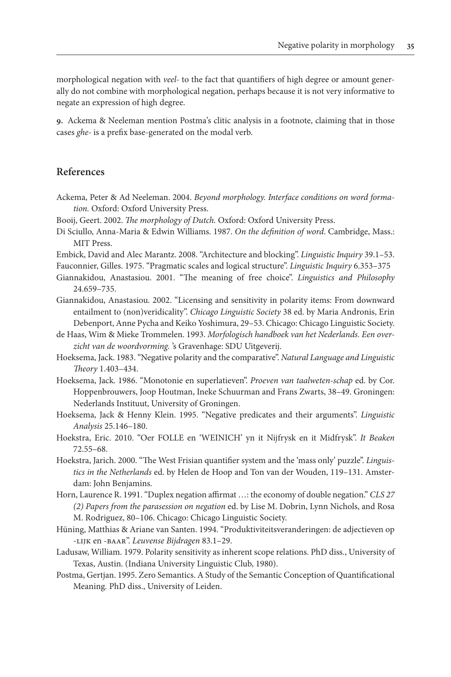morphological negation with *veel-* to the fact that quantifiers of high degree or amount generally do not combine with morphological negation, perhaps because it is not very informative to negate an expression of high degree.

**9.** Ackema & Neeleman mention Postma's clitic analysis in a footnote, claiming that in those cases *ghe-* is a prefix base-generated on the modal verb.

#### **References**

- Ackema, Peter & Ad Neeleman. 2004. *Beyond morphology. Interface conditions on word formation.* Oxford: Oxford University Press.
- Booij, Geert. 2002. *The morphology of Dutch.* Oxford: Oxford University Press.
- Di Sciullo, Anna-Maria & Edwin Williams. 1987. *On the definition of word*. Cambridge, Mass.: MIT Press.
- Embick, David and Alec Marantz. 2008. "Architecture and blocking". *Linguistic Inquiry* 39.1–53.

Fauconnier, Gilles. 1975. "Pragmatic scales and logical structure". *Linguistic Inquiry* 6.353–375

- Giannakidou, Anastasiou. 2001. "The meaning of free choice". *Linguistics and Philosophy* 24.659–735.
- Giannakidou, Anastasiou. 2002. "Licensing and sensitivity in polarity items: From downward entailment to (non)veridicality". *Chicago Linguistic Society* 38 ed. by Maria Andronis, Erin Debenport, Anne Pycha and Keiko Yoshimura, 29–53. Chicago: Chicago Linguistic Society.
- de Haas, Wim & Mieke Trommelen. 1993. *Morfologisch handboek van het Nederlands. Een overzicht van de woordvorming.* 's Gravenhage: SDU Uitgeverij.
- Hoeksema, Jack. 1983. "Negative polarity and the comparative". *Natural Language and Linguistic Theory* 1.403–434.
- Hoeksema, Jack. 1986. "Monotonie en superlatieven". *Proeven van taalweten-schap* ed. by Cor. Hoppenbrouwers, Joop Houtman, Ineke Schuurman and Frans Zwarts, 38–49. Groningen: Nederlands Instituut, University of Groningen.
- Hoeksema, Jack & Henny Klein. 1995. "Negative predicates and their arguments". *Linguistic Analysis* 25.146–180.
- Hoekstra, Eric. 2010. "Oer FOLLE en 'WEINICH' yn it Nijfrysk en it Midfrysk". *It Beaken* 72.55–68.
- Hoekstra, Jarich. 2000. "The West Frisian quantifier system and the 'mass only' puzzle". *Linguistics in the Netherlands* ed. by Helen de Hoop and Ton van der Wouden, 119–131. Amsterdam: John Benjamins.
- Horn, Laurence R. 1991. "Duplex negation affirmat …: the economy of double negation." *CLS 27 (2) Papers from the parasession on negation* ed. by Lise M. Dobrin, Lynn Nichols, and Rosa M. Rodriguez, 80–106. Chicago: Chicago Linguistic Society.
- Hüning, Matthias & Ariane van Santen. 1994. "Produktiviteitsveranderingen: de adjectieven op -lijk en -baar". *Leuvense Bijdragen* 83.1–29.
- Ladusaw, William. 1979. Polarity sensitivity as inherent scope relations. PhD diss., University of Texas, Austin. (Indiana University Linguistic Club, 1980).
- Postma, Gertjan. 1995. Zero Semantics. A Study of the Semantic Conception of Quantificational Meaning*.* PhD diss., University of Leiden.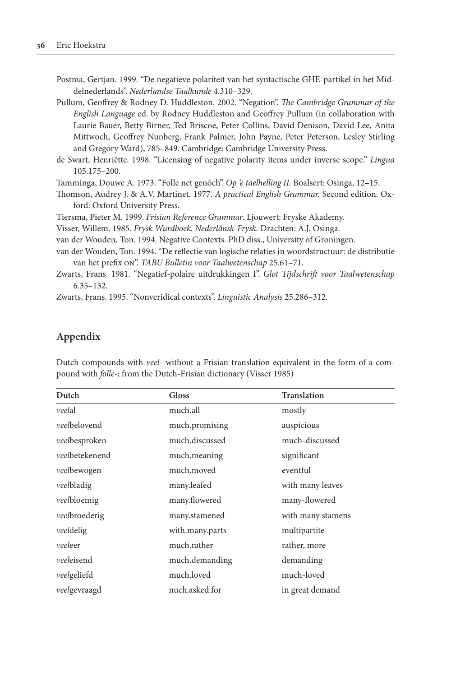Postma, Gertjan. 1999. "De negatieve polariteit van het syntactische GHE-partikel in het Middelnederlands". *Nederlandse Taalkunde* 4.310–329.

Pullum, Geoffrey & Rodney D. Huddleston. 2002. "Negation". *The Cambridge Grammar of the English Language* ed. by Rodney Huddleston and Geoffrey Pullum (in collaboration with Laurie Bauer, Betty Birner, Ted Briscoe, Peter Collins, David Denison, David Lee, Anita Mittwoch, Geoffrey Nunberg, Frank Palmer, John Payne, Peter Peterson, Lesley Stirling and Gregory Ward), 785–849. Cambridge: Cambridge University Press.

de Swart, Henriëtte. 1998. "Licensing of negative polarity items under inverse scope." *Lingua*  105.175–200.

Tamminga, Douwe A. 1973. "Folle net genôch". *Op 'e taelhelling II*. Boalsert: Osinga, 12–15.

Thomson, Audrey J. & A.V. Martinet. 1977. *A practical English Grammar.* Second edition. Oxford: Oxford University Press.

Tiersma, Pieter M. 1999. *Frisian Reference Grammar*. Ljouwert: Fryske Akademy.

Visser, Willem. 1985. *Frysk Wurdboek. Nederlânsk-Frysk.* Drachten: A.J. Osinga.

van der Wouden, Ton. 1994. Negative Contexts. PhD diss., University of Groningen.

- van der Wouden, Ton. 1994. "De reflectie van logische relaties in woordstructuur: de distributie van het prefix on". *TABU Bulletin voor Taalwetenschap* 25.61–71.
- Zwarts, Frans. 1981. "Negatief-polaire uitdrukkingen I". *Glot Tijdschrift voor Taalwetenschap*  6.35–132.

Zwarts, Frans. 1995. "Nonveridical contexts". *Linguistic Analysis* 25.286–312.

#### **Appendix**

| pound with <i>folle</i> -; from the Dutch-Frisian dictionary (Visser 1985) |                 |                    |  |  |
|----------------------------------------------------------------------------|-----------------|--------------------|--|--|
| Dutch                                                                      | Gloss           | <b>Translation</b> |  |  |
| veelal                                                                     | much.all        | mostly             |  |  |
| veelbelovend                                                               | much.promising  | auspicious         |  |  |
| veelbesproken                                                              | much.discussed  | much-discussed     |  |  |
| veelbetekenend                                                             | much.meaning    | significant        |  |  |
| veelbewogen                                                                | much.moved      | eventful           |  |  |
| veelbladig                                                                 | many.leafed     | with many leaves   |  |  |
| veelbloemig                                                                | many.flowered   | many-flowered      |  |  |
| veelbroederig                                                              | many.stamened   | with many stamens  |  |  |
| veeldelig                                                                  | with.many.parts | multipartite       |  |  |
| veeleer                                                                    | much.rather     | rather, more       |  |  |
| veeleisend                                                                 | much.demanding  | demanding          |  |  |
| veelgeliefd                                                                | much.loved      | much-loved         |  |  |
| veelgevraagd                                                               | nuch.asked.for  | in great demand    |  |  |

Dutch compounds with *veel*- without a Frisian translation equivalent in the form of a com-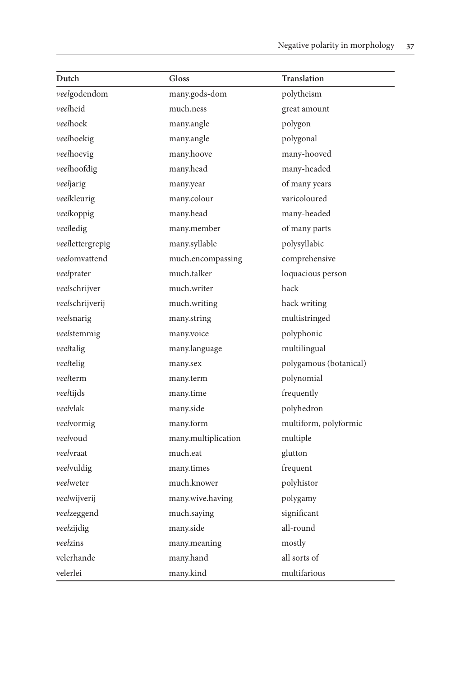| Dutch            | Gloss               | <b>Translation</b>     |
|------------------|---------------------|------------------------|
| veelgodendom     | many.gods-dom       | polytheism             |
| veelheid         | much.ness           | great amount           |
| veelhoek         | many.angle          | polygon                |
| veelhoekig       | many.angle          | polygonal              |
| veelhoevig       | many.hoove          | many-hooved            |
| veelhoofdig      | many.head           | many-headed            |
| veeljarig        | many.year           | of many years          |
| veelkleurig      | many.colour         | varicoloured           |
| veelkoppig       | many.head           | many-headed            |
| veelledig        | many.member         | of many parts          |
| veellettergrepig | many.syllable       | polysyllabic           |
| veelomvattend    | much.encompassing   | comprehensive          |
| veelprater       | much.talker         | loquacious person      |
| veelschrijver    | much.writer         | hack                   |
| veelschrijverij  | much.writing        | hack writing           |
| veelsnarig       | many.string         | multistringed          |
| veelstemmig      | many.voice          | polyphonic             |
| veeltalig        | many.language       | multilingual           |
| veeltelig        | many.sex            | polygamous (botanical) |
| veelterm         | many.term           | polynomial             |
| veeltijds        | many.time           | frequently             |
| veelvlak         | many.side           | polyhedron             |
| veelvormig       | many.form           | multiform, polyformic  |
| veelvoud         | many.multiplication | multiple               |
| veelvraat        | much.eat            | glutton                |
| veelvuldig       | many.times          | frequent               |
| veelweter        | much.knower         | polyhistor             |
| veelwijverij     | many.wive.having    | polygamy               |
| veelzeggend      | much.saying         | significant            |
| veelzijdig       | many.side           | all-round              |
| veelzins         | many.meaning        | mostly                 |
| velerhande       | many.hand           | all sorts of           |
| velerlei         | many.kind           | multifarious           |